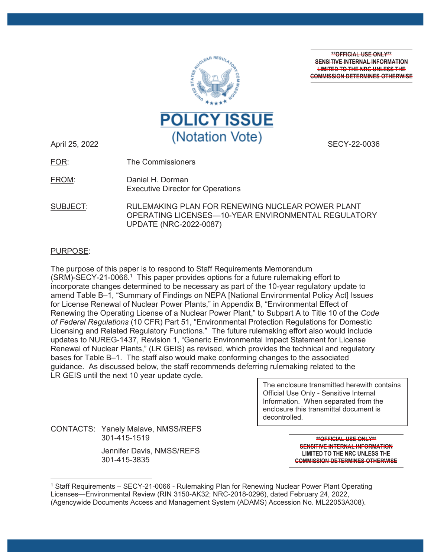

**\*\*OFFICIAL USE ONLY\*\* SENSITIVE INTERNAL INFORMATION LIMITED TO THE NRC UNLESS THE COMMISSION DETERMINES OTHERWISE**

FOR: The Commissioners

FROM: Daniel H. Dorman Executive Director for Operations

SUBJECT: RULEMAKING PLAN FOR RENEWING NUCLEAR POWER PLANT OPERATING LICENSES—10-YEAR ENVIRONMENTAL REGULATORY UPDATE (NRC-2022-0087)

# PURPOSE:

The purpose of this paper is to respond to Staff Requirements Memorandum  $(SRM)$ -SECY-21-0066.<sup>1</sup> This paper provides options for a future rulemaking effort to incorporate changes determined to be necessary as part of the 10-year regulatory update to amend Table B–1, "Summary of Findings on NEPA [National Environmental Policy Act] Issues for License Renewal of Nuclear Power Plants," in Appendix B, "Environmental Effect of Renewing the Operating License of a Nuclear Power Plant," to Subpart A to Title 10 of the *Code of Federal Regulations* (10 CFR) Part 51, "Environmental Protection Regulations for Domestic Licensing and Related Regulatory Functions." The future rulemaking effort also would include updates to NUREG-1437, Revision 1, "Generic Environmental Impact Statement for License Renewal of Nuclear Plants," (LR GEIS) as revised, which provides the technical and regulatory bases for Table B–1. The staff also would make conforming changes to the associated guidance. As discussed below, the staff recommends deferring rulemaking related to the LR GEIS until the next 10 year update cycle.

> The enclosure transmitted herewith contains Official Use Only - Sensitive Internal Information. When separated from the enclosure this transmittal document is decontrolled.

CONTACTS: Yanely Malave, NMSS/REFS 301-415-1519

> Jennifer Davis, NMSS/REFS 301-415-3835

**\*\*OFFICIAL USE ONLY\*\* SENSITIVE INTERNAL INFORMATION LIMITED TO THE NRC UNLESS THE COMMISSION DETERMINES OTHERWISE**

<sup>1</sup> Staff Requirements – SECY-21-0066 - Rulemaking Plan for Renewing Nuclear Power Plant Operating Licenses—Environmental Review (RIN 3150-AK32; NRC-2018-0296), dated February 24, 2022, (Agencywide Documents Access and Management System (ADAMS) Accession No. ML22053A308).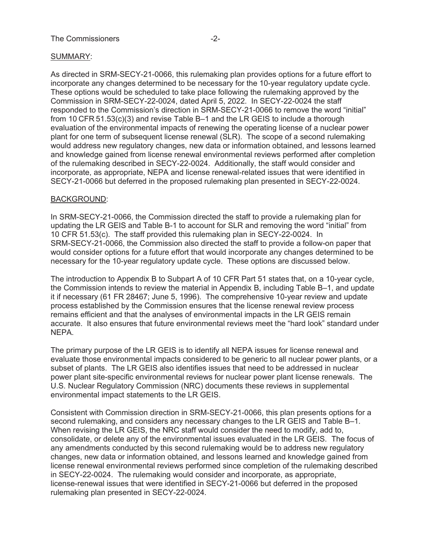# SUMMARY:

As directed in SRM-SECY-21-0066, this rulemaking plan provides options for a future effort to incorporate any changes determined to be necessary for the 10-year regulatory update cycle. These options would be scheduled to take place following the rulemaking approved by the Commission in SRM-SECY-22-0024, dated April 5, 2022. In SECY-22-0024 the staff responded to the Commission's direction in SRM-SECY-21-0066 to remove the word "initial" from 10 CFR 51.53(c)(3) and revise Table B–1 and the LR GEIS to include a thorough evaluation of the environmental impacts of renewing the operating license of a nuclear power plant for one term of subsequent license renewal (SLR). The scope of a second rulemaking would address new regulatory changes, new data or information obtained, and lessons learned and knowledge gained from license renewal environmental reviews performed after completion of the rulemaking described in SECY-22-0024. Additionally, the staff would consider and incorporate, as appropriate, NEPA and license renewal-related issues that were identified in SECY-21-0066 but deferred in the proposed rulemaking plan presented in SECY-22-0024.

# BACKGROUND:

In SRM-SECY-21-0066, the Commission directed the staff to provide a rulemaking plan for updating the LR GEIS and Table B-1 to account for SLR and removing the word "initial" from 10 CFR 51.53(c). The staff provided this rulemaking plan in SECY-22-0024. In SRM-SECY-21-0066, the Commission also directed the staff to provide a follow-on paper that would consider options for a future effort that would incorporate any changes determined to be necessary for the 10-year regulatory update cycle. These options are discussed below.

The introduction to Appendix B to Subpart A of 10 CFR Part 51 states that, on a 10-year cycle, the Commission intends to review the material in Appendix B, including Table B–1, and update it if necessary (61 FR 28467; June 5, 1996). The comprehensive 10-year review and update process established by the Commission ensures that the license renewal review process remains efficient and that the analyses of environmental impacts in the LR GEIS remain accurate. It also ensures that future environmental reviews meet the "hard look" standard under NEPA.

The primary purpose of the LR GEIS is to identify all NEPA issues for license renewal and evaluate those environmental impacts considered to be generic to all nuclear power plants, or a subset of plants. The LR GEIS also identifies issues that need to be addressed in nuclear power plant site-specific environmental reviews for nuclear power plant license renewals. The U.S. Nuclear Regulatory Commission (NRC) documents these reviews in supplemental environmental impact statements to the LR GEIS.

Consistent with Commission direction in SRM-SECY-21-0066, this plan presents options for a second rulemaking, and considers any necessary changes to the LR GEIS and Table B–1. When revising the LR GEIS, the NRC staff would consider the need to modify, add to, consolidate, or delete any of the environmental issues evaluated in the LR GEIS. The focus of any amendments conducted by this second rulemaking would be to address new regulatory changes, new data or information obtained, and lessons learned and knowledge gained from license renewal environmental reviews performed since completion of the rulemaking described in SECY-22-0024. The rulemaking would consider and incorporate, as appropriate, license-renewal issues that were identified in SECY-21-0066 but deferred in the proposed rulemaking plan presented in SECY-22-0024.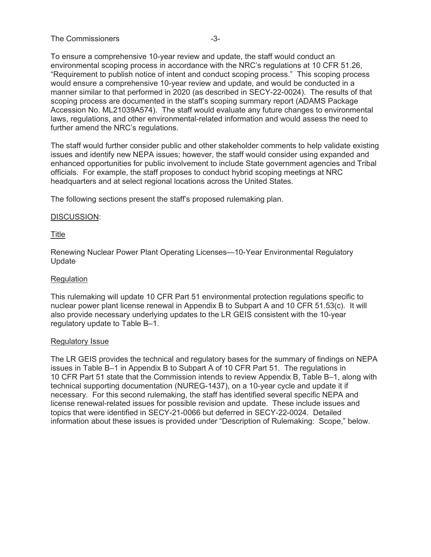# The Commissioners and the Commissioners of the state of  $-3-$

To ensure a comprehensive 10-year review and update, the staff would conduct an environmental scoping process in accordance with the NRC's regulations at 10 CFR 51.26, "Requirement to publish notice of intent and conduct scoping process." This scoping process would ensure a comprehensive 10-year review and update, and would be conducted in a manner similar to that performed in 2020 (as described in SECY-22-0024). The results of that scoping process are documented in the staff's scoping summary report (ADAMS Package Accession No. ML21039A574). The staff would evaluate any future changes to environmental laws, regulations, and other environmental-related information and would assess the need to further amend the NRC's regulations.

The staff would further consider public and other stakeholder comments to help validate existing issues and identify new NEPA issues; however, the staff would consider using expanded and enhanced opportunities for public involvement to include State government agencies and Tribal officials. For example, the staff proposes to conduct hybrid scoping meetings at NRC headquarters and at select regional locations across the United States.

The following sections present the staff's proposed rulemaking plan.

### DISCUSSION:

# Title

Renewing Nuclear Power Plant Operating Licenses—10-Year Environmental Regulatory Update

### **Regulation**

This rulemaking will update 10 CFR Part 51 environmental protection regulations specific to nuclear power plant license renewal in Appendix B to Subpart A and 10 CFR 51.53(c). It will also provide necessary underlying updates to the LR GEIS consistent with the 10-year regulatory update to Table B–1.

### Regulatory Issue

The LR GEIS provides the technical and regulatory bases for the summary of findings on NEPA issues in Table B–1 in Appendix B to Subpart A of 10 CFR Part 51. The regulations in 10 CFR Part 51 state that the Commission intends to review Appendix B, Table B–1, along with technical supporting documentation (NUREG-1437), on a 10-year cycle and update it if necessary. For this second rulemaking, the staff has identified several specific NEPA and license renewal-related issues for possible revision and update. These include issues and topics that were identified in SECY-21-0066 but deferred in SECY-22-0024. Detailed information about these issues is provided under "Description of Rulemaking: Scope," below.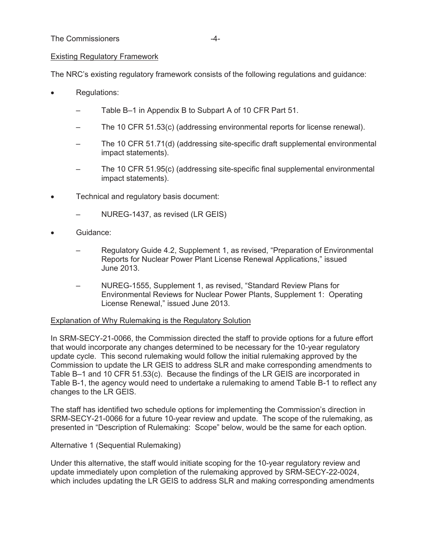# Existing Regulatory Framework

The NRC's existing regulatory framework consists of the following regulations and guidance:

- Regulations:
	- Table B–1 in Appendix B to Subpart A of 10 CFR Part 51.
	- The 10 CFR 51.53(c) (addressing environmental reports for license renewal).
	- The 10 CFR 51.71(d) (addressing site-specific draft supplemental environmental impact statements).
	- The 10 CFR 51.95(c) (addressing site-specific final supplemental environmental impact statements).
- Technical and regulatory basis document:
	- NUREG-1437, as revised (LR GEIS)
- Guidance:
	- Regulatory Guide 4.2, Supplement 1, as revised, "Preparation of Environmental Reports for Nuclear Power Plant License Renewal Applications," issued June 2013.
	- NUREG-1555, Supplement 1, as revised, "Standard Review Plans for Environmental Reviews for Nuclear Power Plants, Supplement 1: Operating License Renewal," issued June 2013.

### Explanation of Why Rulemaking is the Regulatory Solution

In SRM-SECY-21-0066, the Commission directed the staff to provide options for a future effort that would incorporate any changes determined to be necessary for the 10-year regulatory update cycle. This second rulemaking would follow the initial rulemaking approved by the Commission to update the LR GEIS to address SLR and make corresponding amendments to Table B–1 and 10 CFR 51.53(c). Because the findings of the LR GEIS are incorporated in Table B-1, the agency would need to undertake a rulemaking to amend Table B-1 to reflect any changes to the LR GEIS.

The staff has identified two schedule options for implementing the Commission's direction in SRM-SECY-21-0066 for a future 10-year review and update. The scope of the rulemaking, as presented in "Description of Rulemaking: Scope" below, would be the same for each option.

### Alternative 1 (Sequential Rulemaking)

Under this alternative, the staff would initiate scoping for the 10-year regulatory review and update immediately upon completion of the rulemaking approved by SRM-SECY-22-0024, which includes updating the LR GEIS to address SLR and making corresponding amendments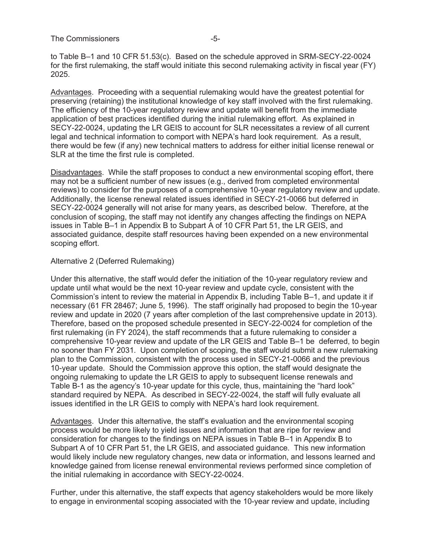to Table B–1 and 10 CFR 51.53(c). Based on the schedule approved in SRM-SECY-22-0024 for the first rulemaking, the staff would initiate this second rulemaking activity in fiscal year (FY) 2025.

Advantages. Proceeding with a sequential rulemaking would have the greatest potential for preserving (retaining) the institutional knowledge of key staff involved with the first rulemaking. The efficiency of the 10-year regulatory review and update will benefit from the immediate application of best practices identified during the initial rulemaking effort. As explained in SECY-22-0024, updating the LR GEIS to account for SLR necessitates a review of all current legal and technical information to comport with NEPA's hard look requirement. As a result, there would be few (if any) new technical matters to address for either initial license renewal or SLR at the time the first rule is completed.

Disadvantages. While the staff proposes to conduct a new environmental scoping effort, there may not be a sufficient number of new issues (e.g., derived from completed environmental reviews) to consider for the purposes of a comprehensive 10-year regulatory review and update. Additionally, the license renewal related issues identified in SECY-21-0066 but deferred in SECY-22-0024 generally will not arise for many years, as described below. Therefore, at the conclusion of scoping, the staff may not identify any changes affecting the findings on NEPA issues in Table B–1 in Appendix B to Subpart A of 10 CFR Part 51, the LR GEIS, and associated guidance, despite staff resources having been expended on a new environmental scoping effort.

#### Alternative 2 (Deferred Rulemaking)

Under this alternative, the staff would defer the initiation of the 10-year regulatory review and update until what would be the next 10-year review and update cycle, consistent with the Commission's intent to review the material in Appendix B, including Table B–1, and update it if necessary (61 FR 28467; June 5, 1996). The staff originally had proposed to begin the 10-year review and update in 2020 (7 years after completion of the last comprehensive update in 2013). Therefore, based on the proposed schedule presented in SECY-22-0024 for completion of the first rulemaking (in FY 2024), the staff recommends that a future rulemaking to consider a comprehensive 10-year review and update of the LR GEIS and Table B–1 be deferred, to begin no sooner than FY 2031. Upon completion of scoping, the staff would submit a new rulemaking plan to the Commission, consistent with the process used in SECY-21-0066 and the previous 10-year update. Should the Commission approve this option, the staff would designate the ongoing rulemaking to update the LR GEIS to apply to subsequent license renewals and Table B-1 as the agency's 10-year update for this cycle, thus, maintaining the "hard look" standard required by NEPA. As described in SECY-22-0024, the staff will fully evaluate all issues identified in the LR GEIS to comply with NEPA's hard look requirement.

Advantages. Under this alternative, the staff's evaluation and the environmental scoping process would be more likely to yield issues and information that are ripe for review and consideration for changes to the findings on NEPA issues in Table B–1 in Appendix B to Subpart A of 10 CFR Part 51, the LR GEIS, and associated guidance. This new information would likely include new regulatory changes, new data or information, and lessons learned and knowledge gained from license renewal environmental reviews performed since completion of the initial rulemaking in accordance with SECY-22-0024.

Further, under this alternative, the staff expects that agency stakeholders would be more likely to engage in environmental scoping associated with the 10-year review and update, including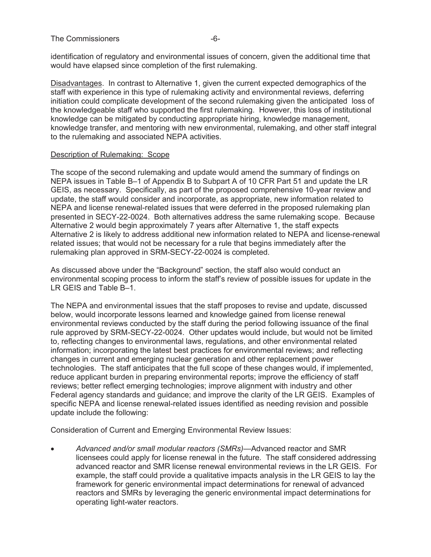identification of regulatory and environmental issues of concern, given the additional time that would have elapsed since completion of the first rulemaking.

Disadvantages. In contrast to Alternative 1, given the current expected demographics of the staff with experience in this type of rulemaking activity and environmental reviews, deferring initiation could complicate development of the second rulemaking given the anticipated loss of the knowledgeable staff who supported the first rulemaking. However, this loss of institutional knowledge can be mitigated by conducting appropriate hiring, knowledge management, knowledge transfer, and mentoring with new environmental, rulemaking, and other staff integral to the rulemaking and associated NEPA activities.

### Description of Rulemaking: Scope

The scope of the second rulemaking and update would amend the summary of findings on NEPA issues in Table B–1 of Appendix B to Subpart A of 10 CFR Part 51 and update the LR GEIS, as necessary. Specifically, as part of the proposed comprehensive 10-year review and update, the staff would consider and incorporate, as appropriate, new information related to NEPA and license renewal-related issues that were deferred in the proposed rulemaking plan presented in SECY-22-0024. Both alternatives address the same rulemaking scope. Because Alternative 2 would begin approximately 7 years after Alternative 1, the staff expects Alternative 2 is likely to address additional new information related to NEPA and license-renewal related issues; that would not be necessary for a rule that begins immediately after the rulemaking plan approved in SRM-SECY-22-0024 is completed.

As discussed above under the "Background" section, the staff also would conduct an environmental scoping process to inform the staff's review of possible issues for update in the LR GEIS and Table B–1.

The NEPA and environmental issues that the staff proposes to revise and update, discussed below, would incorporate lessons learned and knowledge gained from license renewal environmental reviews conducted by the staff during the period following issuance of the final rule approved by SRM-SECY-22-0024. Other updates would include, but would not be limited to, reflecting changes to environmental laws, regulations, and other environmental related information; incorporating the latest best practices for environmental reviews; and reflecting changes in current and emerging nuclear generation and other replacement power technologies. The staff anticipates that the full scope of these changes would, if implemented, reduce applicant burden in preparing environmental reports; improve the efficiency of staff reviews; better reflect emerging technologies; improve alignment with industry and other Federal agency standards and guidance; and improve the clarity of the LR GEIS. Examples of specific NEPA and license renewal-related issues identified as needing revision and possible update include the following:

Consideration of Current and Emerging Environmental Review Issues:

x *Advanced and/or small modular reactors (SMRs)—*Advanced reactor and SMR licensees could apply for license renewal in the future. The staff considered addressing advanced reactor and SMR license renewal environmental reviews in the LR GEIS. For example, the staff could provide a qualitative impacts analysis in the LR GEIS to lay the framework for generic environmental impact determinations for renewal of advanced reactors and SMRs by leveraging the generic environmental impact determinations for operating light-water reactors.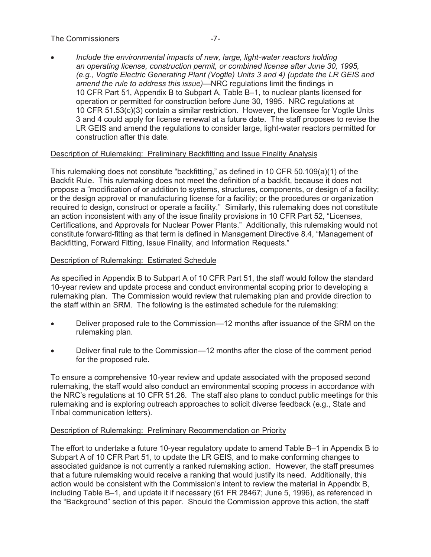# The Commissioners and the Commissioners of the Commissioners of the state of the state of the state of the state of the state of the state of the state of the state of the state of the state of the state of the state of th

x *Include the environmental impacts of new, large, light-water reactors holding an operating license, construction permit, or combined license after June 30, 1995, (e.g., Vogtle Electric Generating Plant (Vogtle) Units 3 and 4) (update the LR GEIS and amend the rule to address this issue)*—NRC regulations limit the findings in 10 CFR Part 51, Appendix B to Subpart A, Table B–1, to nuclear plants licensed for operation or permitted for construction before June 30, 1995. NRC regulations at 10 CFR 51.53(c)(3) contain a similar restriction. However, the licensee for Vogtle Units 3 and 4 could apply for license renewal at a future date. The staff proposes to revise the LR GEIS and amend the regulations to consider large, light-water reactors permitted for construction after this date.

# Description of Rulemaking: Preliminary Backfitting and Issue Finality Analysis

This rulemaking does not constitute "backfitting," as defined in 10 CFR 50.109(a)(1) of the Backfit Rule. This rulemaking does not meet the definition of a backfit, because it does not propose a "modification of or addition to systems, structures, components, or design of a facility; or the design approval or manufacturing license for a facility; or the procedures or organization required to design, construct or operate a facility." Similarly, this rulemaking does not constitute an action inconsistent with any of the issue finality provisions in 10 CFR Part 52, "Licenses, Certifications, and Approvals for Nuclear Power Plants." Additionally, this rulemaking would not constitute forward-fitting as that term is defined in Management Directive 8.4, "Management of Backfitting, Forward Fitting, Issue Finality, and Information Requests."

# Description of Rulemaking: Estimated Schedule

As specified in Appendix B to Subpart A of 10 CFR Part 51, the staff would follow the standard 10-year review and update process and conduct environmental scoping prior to developing a rulemaking plan. The Commission would review that rulemaking plan and provide direction to the staff within an SRM. The following is the estimated schedule for the rulemaking:

- Deliver proposed rule to the Commission—12 months after issuance of the SRM on the rulemaking plan.
- Deliver final rule to the Commission—12 months after the close of the comment period for the proposed rule.

To ensure a comprehensive 10-year review and update associated with the proposed second rulemaking, the staff would also conduct an environmental scoping process in accordance with the NRC's regulations at 10 CFR 51.26. The staff also plans to conduct public meetings for this rulemaking and is exploring outreach approaches to solicit diverse feedback (e.g., State and Tribal communication letters).

### Description of Rulemaking: Preliminary Recommendation on Priority

The effort to undertake a future 10-year regulatory update to amend Table B–1 in Appendix B to Subpart A of 10 CFR Part 51, to update the LR GEIS, and to make conforming changes to associated guidance is not currently a ranked rulemaking action. However, the staff presumes that a future rulemaking would receive a ranking that would justify its need. Additionally, this action would be consistent with the Commission's intent to review the material in Appendix B, including Table B–1, and update it if necessary (61 FR 28467; June 5, 1996), as referenced in the "Background" section of this paper. Should the Commission approve this action, the staff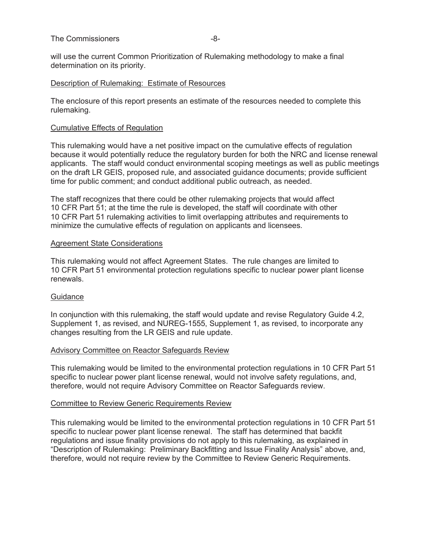will use the current Common Prioritization of Rulemaking methodology to make a final determination on its priority.

### Description of Rulemaking: Estimate of Resources

The enclosure of this report presents an estimate of the resources needed to complete this rulemaking.

# Cumulative Effects of Regulation

This rulemaking would have a net positive impact on the cumulative effects of regulation because it would potentially reduce the regulatory burden for both the NRC and license renewal applicants. The staff would conduct environmental scoping meetings as well as public meetings on the draft LR GEIS, proposed rule, and associated guidance documents; provide sufficient time for public comment; and conduct additional public outreach, as needed.

The staff recognizes that there could be other rulemaking projects that would affect 10 CFR Part 51; at the time the rule is developed, the staff will coordinate with other 10 CFR Part 51 rulemaking activities to limit overlapping attributes and requirements to minimize the cumulative effects of regulation on applicants and licensees.

# Agreement State Considerations

This rulemaking would not affect Agreement States. The rule changes are limited to 10 CFR Part 51 environmental protection regulations specific to nuclear power plant license renewals.

# Guidance

In conjunction with this rulemaking, the staff would update and revise Regulatory Guide 4.2, Supplement 1, as revised, and NUREG-1555, Supplement 1, as revised, to incorporate any changes resulting from the LR GEIS and rule update.

### Advisory Committee on Reactor Safeguards Review

This rulemaking would be limited to the environmental protection regulations in 10 CFR Part 51 specific to nuclear power plant license renewal, would not involve safety regulations, and, therefore, would not require Advisory Committee on Reactor Safeguards review.

### Committee to Review Generic Requirements Review

This rulemaking would be limited to the environmental protection regulations in 10 CFR Part 51 specific to nuclear power plant license renewal. The staff has determined that backfit regulations and issue finality provisions do not apply to this rulemaking, as explained in "Description of Rulemaking: Preliminary Backfitting and Issue Finality Analysis" above, and, therefore, would not require review by the Committee to Review Generic Requirements.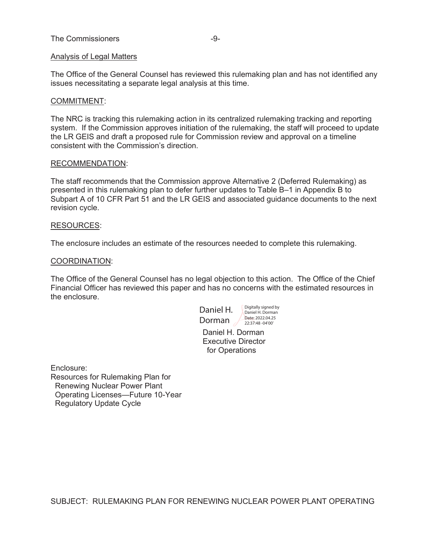### The Commissioners and the Commissioners of the state of the state of the state of the state of the state of the state of the state of the state of the state of the state of the state of the state of the state of the state

### Analysis of Legal Matters

The Office of the General Counsel has reviewed this rulemaking plan and has not identified any issues necessitating a separate legal analysis at this time.

#### COMMITMENT:

The NRC is tracking this rulemaking action in its centralized rulemaking tracking and reporting system. If the Commission approves initiation of the rulemaking, the staff will proceed to update the LR GEIS and draft a proposed rule for Commission review and approval on a timeline consistent with the Commission's direction.

#### RECOMMENDATION:

The staff recommends that the Commission approve Alternative 2 (Deferred Rulemaking) as presented in this rulemaking plan to defer further updates to Table B–1 in Appendix B to Subpart A of 10 CFR Part 51 and the LR GEIS and associated guidance documents to the next revision cycle.

#### RESOURCES:

The enclosure includes an estimate of the resources needed to complete this rulemaking.

#### COORDINATION:

The Office of the General Counsel has no legal objection to this action. The Office of the Chief Financial Officer has reviewed this paper and has no concerns with the estimated resources in the enclosure.

Daniel H. Digitally signed by Dorman 22:37:48 -04'00'

Daniel H. Dorman Executive Director for Operations

Enclosure: Resources for Rulemaking Plan for Renewing Nuclear Power Plant Operating Licenses—Future 10-Year Regulatory Update Cycle

SUBJECT: RULEMAKING PLAN FOR RENEWING NUCLEAR POWER PLANT OPERATING